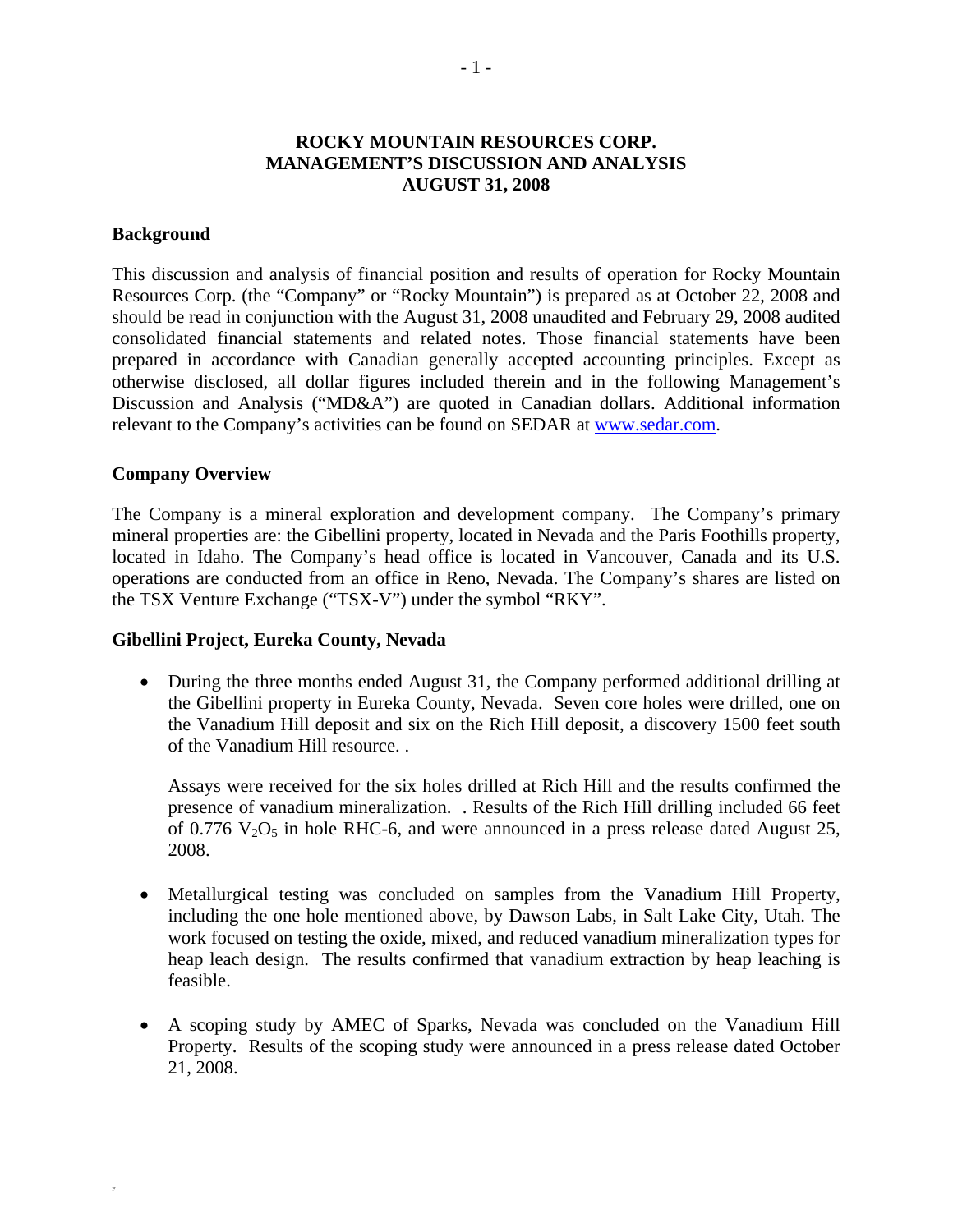# **ROCKY MOUNTAIN RESOURCES CORP. MANAGEMENT'S DISCUSSION AND ANALYSIS AUGUST 31, 2008**

### **Background**

This discussion and analysis of financial position and results of operation for Rocky Mountain Resources Corp. (the "Company" or "Rocky Mountain") is prepared as at October 22, 2008 and should be read in conjunction with the August 31, 2008 unaudited and February 29, 2008 audited consolidated financial statements and related notes. Those financial statements have been prepared in accordance with Canadian generally accepted accounting principles. Except as otherwise disclosed, all dollar figures included therein and in the following Management's Discussion and Analysis ("MD&A") are quoted in Canadian dollars. Additional information relevant to the Company's activities can be found on SEDAR at www.sedar.com.

## **Company Overview**

F

The Company is a mineral exploration and development company. The Company's primary mineral properties are: the Gibellini property, located in Nevada and the Paris Foothills property, located in Idaho. The Company's head office is located in Vancouver, Canada and its U.S. operations are conducted from an office in Reno, Nevada. The Company's shares are listed on the TSX Venture Exchange ("TSX-V") under the symbol "RKY".

# **Gibellini Project, Eureka County, Nevada**

• During the three months ended August 31, the Company performed additional drilling at the Gibellini property in Eureka County, Nevada. Seven core holes were drilled, one on the Vanadium Hill deposit and six on the Rich Hill deposit, a discovery 1500 feet south of the Vanadium Hill resource. .

Assays were received for the six holes drilled at Rich Hill and the results confirmed the presence of vanadium mineralization. . Results of the Rich Hill drilling included 66 feet of 0.776  $V_2O_5$  in hole RHC-6, and were announced in a press release dated August 25, 2008.

- Metallurgical testing was concluded on samples from the Vanadium Hill Property, including the one hole mentioned above, by Dawson Labs, in Salt Lake City, Utah. The work focused on testing the oxide, mixed, and reduced vanadium mineralization types for heap leach design. The results confirmed that vanadium extraction by heap leaching is feasible.
- A scoping study by AMEC of Sparks, Nevada was concluded on the Vanadium Hill Property. Results of the scoping study were announced in a press release dated October 21, 2008.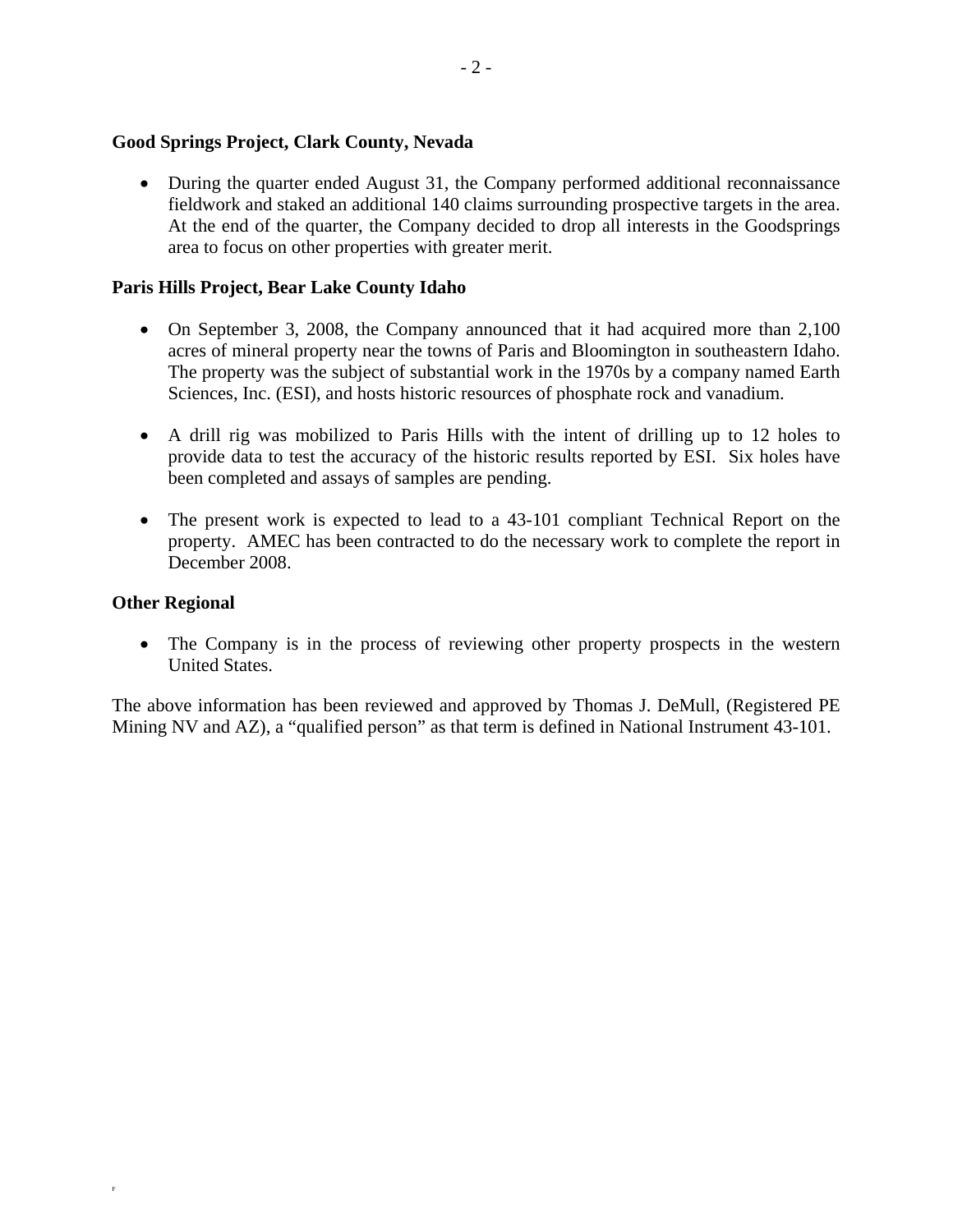# **Good Springs Project, Clark County, Nevada**

• During the quarter ended August 31, the Company performed additional reconnaissance fieldwork and staked an additional 140 claims surrounding prospective targets in the area. At the end of the quarter, the Company decided to drop all interests in the Goodsprings area to focus on other properties with greater merit.

# **Paris Hills Project, Bear Lake County Idaho**

- On September 3, 2008, the Company announced that it had acquired more than 2,100 acres of mineral property near the towns of Paris and Bloomington in southeastern Idaho. The property was the subject of substantial work in the 1970s by a company named Earth Sciences, Inc. (ESI), and hosts historic resources of phosphate rock and vanadium.
- A drill rig was mobilized to Paris Hills with the intent of drilling up to 12 holes to provide data to test the accuracy of the historic results reported by ESI. Six holes have been completed and assays of samples are pending.
- The present work is expected to lead to a 43-101 compliant Technical Report on the property. AMEC has been contracted to do the necessary work to complete the report in December 2008.

# **Other Regional**

F

• The Company is in the process of reviewing other property prospects in the western United States.

The above information has been reviewed and approved by Thomas J. DeMull, (Registered PE Mining NV and AZ), a "qualified person" as that term is defined in National Instrument 43-101.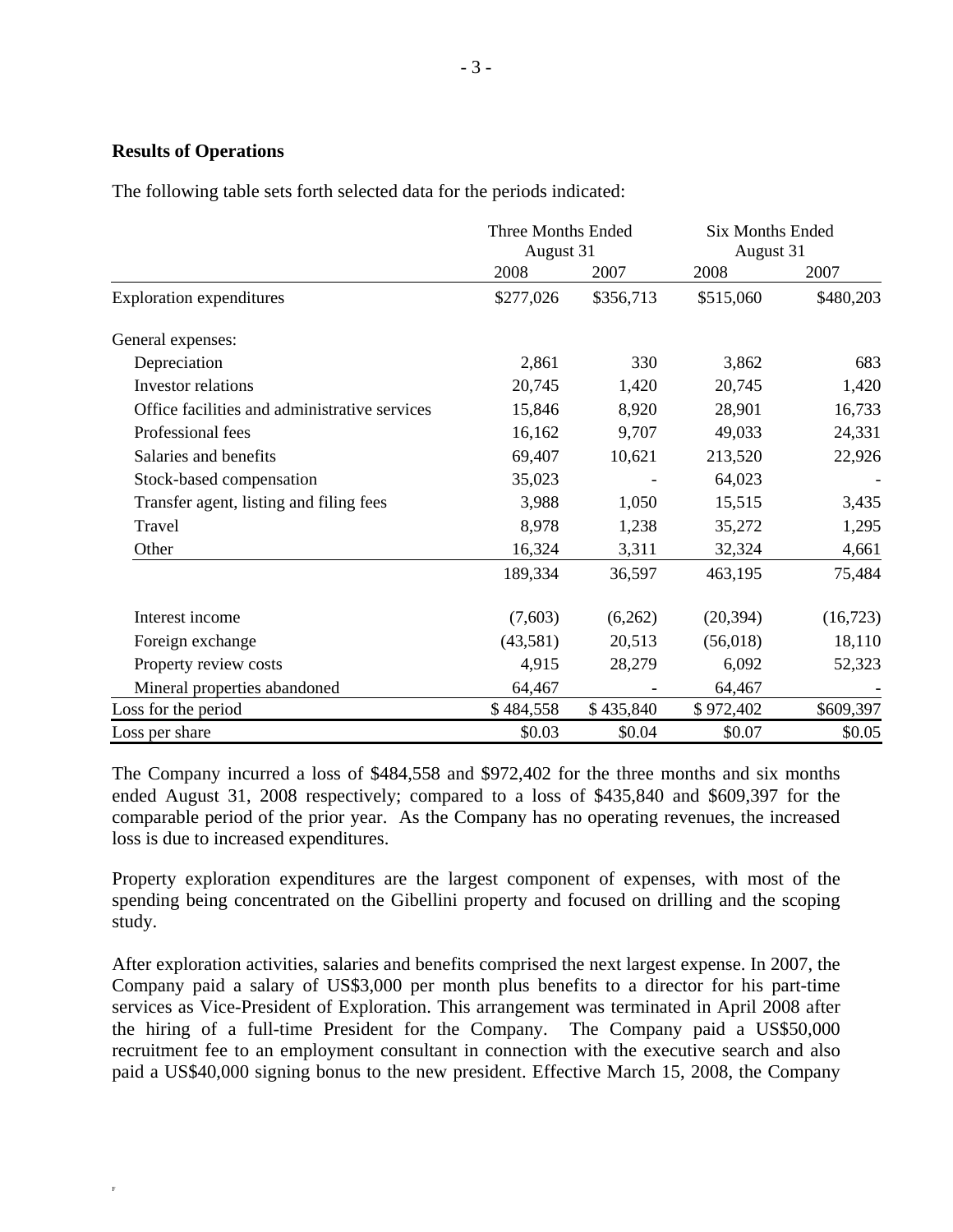## **Results of Operations**

F

The following table sets forth selected data for the periods indicated:

|                                               | Three Months Ended<br>August 31 |           | Six Months Ended<br>August 31 |           |
|-----------------------------------------------|---------------------------------|-----------|-------------------------------|-----------|
|                                               | 2008                            | 2007      | 2008                          | 2007      |
| <b>Exploration expenditures</b>               | \$277,026                       | \$356,713 | \$515,060                     | \$480,203 |
| General expenses:                             |                                 |           |                               |           |
| Depreciation                                  | 2,861                           | 330       | 3,862                         | 683       |
| <b>Investor</b> relations                     | 20,745                          | 1,420     | 20,745                        | 1,420     |
| Office facilities and administrative services | 15,846                          | 8,920     | 28,901                        | 16,733    |
| Professional fees                             | 16,162                          | 9,707     | 49,033                        | 24,331    |
| Salaries and benefits                         | 69,407                          | 10,621    | 213,520                       | 22,926    |
| Stock-based compensation                      | 35,023                          |           | 64,023                        |           |
| Transfer agent, listing and filing fees       | 3,988                           | 1,050     | 15,515                        | 3,435     |
| Travel                                        | 8,978                           | 1,238     | 35,272                        | 1,295     |
| Other                                         | 16,324                          | 3,311     | 32,324                        | 4,661     |
|                                               | 189,334                         | 36,597    | 463,195                       | 75,484    |
| Interest income                               | (7,603)                         | (6,262)   | (20, 394)                     | (16,723)  |
| Foreign exchange                              | (43,581)                        | 20,513    | (56,018)                      | 18,110    |
| Property review costs                         | 4,915                           | 28,279    | 6,092                         | 52,323    |
| Mineral properties abandoned                  | 64,467                          |           | 64,467                        |           |
| Loss for the period                           | \$484,558                       | \$435,840 | \$972,402                     | \$609,397 |
| Loss per share                                | \$0.03                          | \$0.04    | \$0.07                        | \$0.05    |

The Company incurred a loss of \$484,558 and \$972,402 for the three months and six months ended August 31, 2008 respectively; compared to a loss of \$435,840 and \$609,397 for the comparable period of the prior year. As the Company has no operating revenues, the increased loss is due to increased expenditures.

Property exploration expenditures are the largest component of expenses, with most of the spending being concentrated on the Gibellini property and focused on drilling and the scoping study.

After exploration activities, salaries and benefits comprised the next largest expense. In 2007, the Company paid a salary of US\$3,000 per month plus benefits to a director for his part-time services as Vice-President of Exploration. This arrangement was terminated in April 2008 after the hiring of a full-time President for the Company. The Company paid a US\$50,000 recruitment fee to an employment consultant in connection with the executive search and also paid a US\$40,000 signing bonus to the new president. Effective March 15, 2008, the Company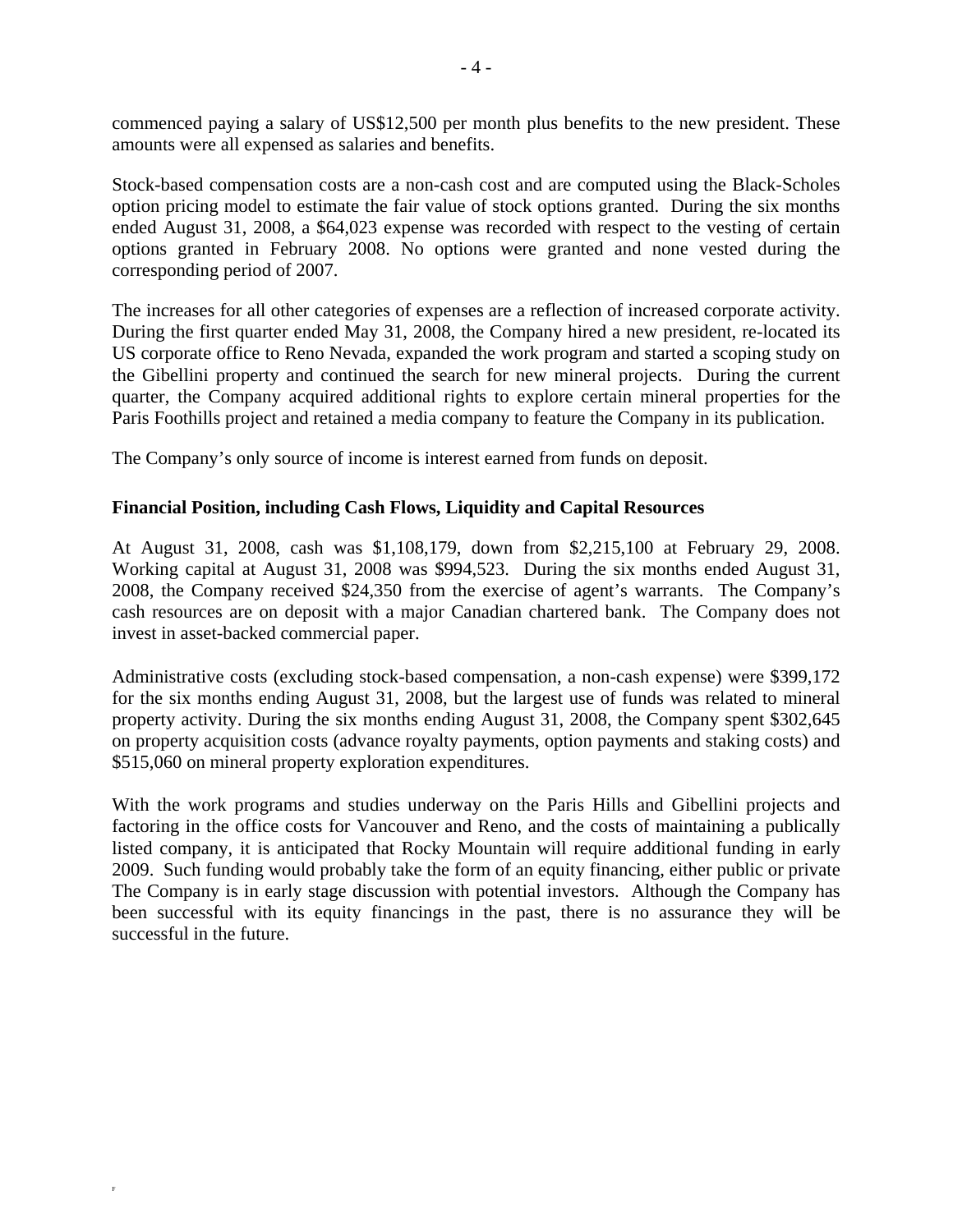commenced paying a salary of US\$12,500 per month plus benefits to the new president. These amounts were all expensed as salaries and benefits.

Stock-based compensation costs are a non-cash cost and are computed using the Black-Scholes option pricing model to estimate the fair value of stock options granted. During the six months ended August 31, 2008, a \$64,023 expense was recorded with respect to the vesting of certain options granted in February 2008. No options were granted and none vested during the corresponding period of 2007.

The increases for all other categories of expenses are a reflection of increased corporate activity. During the first quarter ended May 31, 2008, the Company hired a new president, re-located its US corporate office to Reno Nevada, expanded the work program and started a scoping study on the Gibellini property and continued the search for new mineral projects. During the current quarter, the Company acquired additional rights to explore certain mineral properties for the Paris Foothills project and retained a media company to feature the Company in its publication.

The Company's only source of income is interest earned from funds on deposit.

# **Financial Position, including Cash Flows, Liquidity and Capital Resources**

At August 31, 2008, cash was \$1,108,179, down from \$2,215,100 at February 29, 2008. Working capital at August 31, 2008 was \$994,523. During the six months ended August 31, 2008, the Company received \$24,350 from the exercise of agent's warrants. The Company's cash resources are on deposit with a major Canadian chartered bank. The Company does not invest in asset-backed commercial paper.

Administrative costs (excluding stock-based compensation, a non-cash expense) were \$399,172 for the six months ending August 31, 2008, but the largest use of funds was related to mineral property activity. During the six months ending August 31, 2008, the Company spent \$302,645 on property acquisition costs (advance royalty payments, option payments and staking costs) and \$515,060 on mineral property exploration expenditures.

With the work programs and studies underway on the Paris Hills and Gibellini projects and factoring in the office costs for Vancouver and Reno, and the costs of maintaining a publically listed company, it is anticipated that Rocky Mountain will require additional funding in early 2009. Such funding would probably take the form of an equity financing, either public or private The Company is in early stage discussion with potential investors.Although the Company has been successful with its equity financings in the past, there is no assurance they will be successful in the future.

F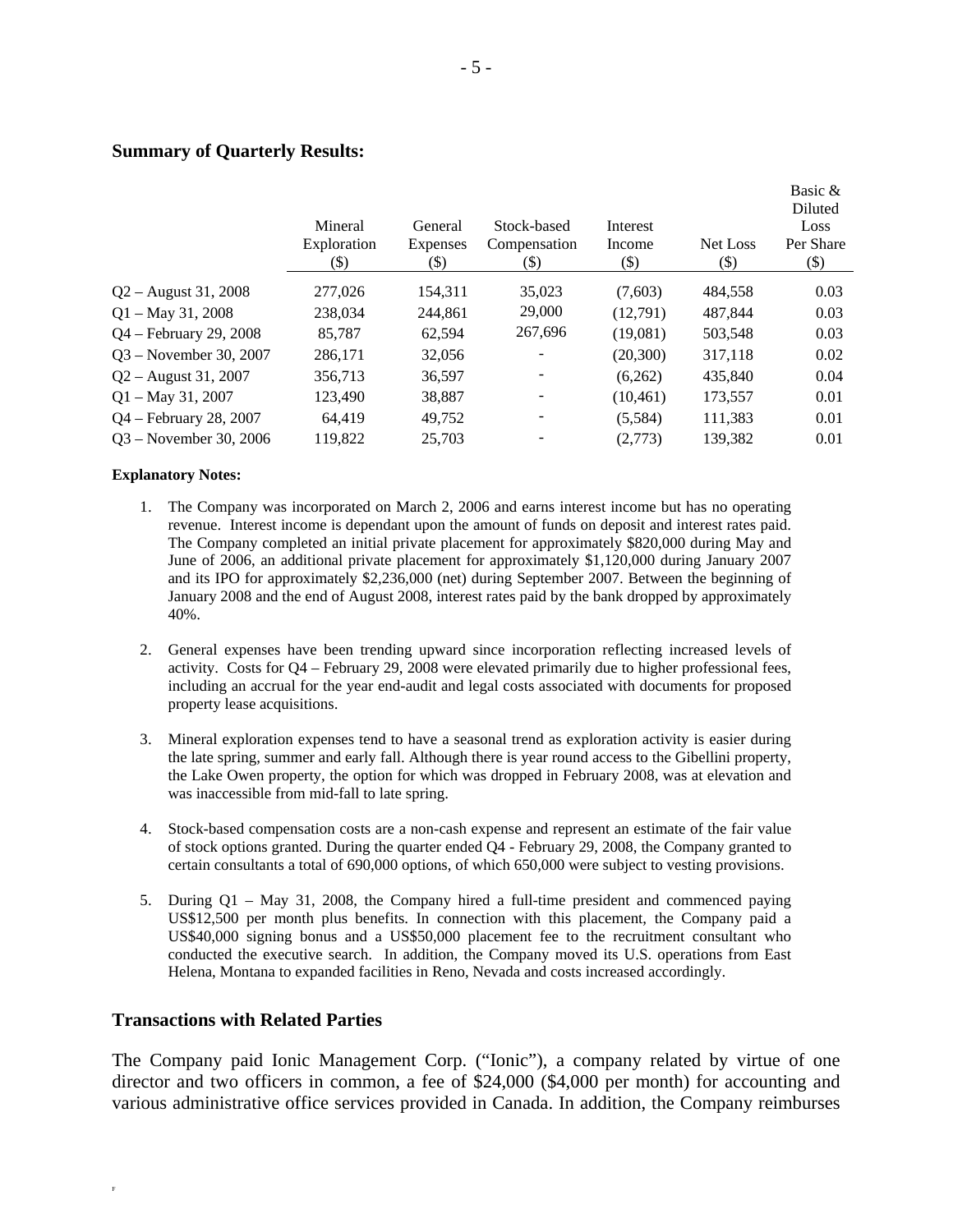## **Summary of Quarterly Results:**

|                           | Mineral<br>Exploration<br>(\$) | General<br><b>Expenses</b><br>(\$) | Stock-based<br>Compensation<br>$(\$)$ | Interest<br>Income<br>$(\$)$ | Net Loss<br>$(\$)$ | Basic $\alpha$<br>Diluted<br>Loss<br>Per Share<br>$(\$)$ |
|---------------------------|--------------------------------|------------------------------------|---------------------------------------|------------------------------|--------------------|----------------------------------------------------------|
| $Q2 -$ August 31, 2008    | 277,026                        | 154.311                            | 35,023                                | (7,603)                      | 484.558            | 0.03                                                     |
| $Q1 - May 31, 2008$       | 238,034                        | 244.861                            | 29,000                                | (12,791)                     | 487.844            | 0.03                                                     |
| $Q4 - February\ 29, 2008$ | 85.787                         | 62.594                             | 267,696                               | (19,081)                     | 503,548            | 0.03                                                     |
| $Q3 - November 30, 2007$  | 286,171                        | 32,056                             |                                       | (20,300)                     | 317,118            | 0.02                                                     |
| $Q2 -$ August 31, 2007    | 356,713                        | 36,597                             |                                       | (6,262)                      | 435,840            | 0.04                                                     |
| $Q1 - May 31, 2007$       | 123,490                        | 38,887                             |                                       | (10, 461)                    | 173,557            | 0.01                                                     |
| $Q4$ – February 28, 2007  | 64.419                         | 49,752                             |                                       | (5,584)                      | 111,383            | 0.01                                                     |
| $Q3$ – November 30, 2006  | 119,822                        | 25,703                             |                                       | (2,773)                      | 139,382            | 0.01                                                     |
|                           |                                |                                    |                                       |                              |                    |                                                          |

#### **Explanatory Notes:**

- 1. The Company was incorporated on March 2, 2006 and earns interest income but has no operating revenue. Interest income is dependant upon the amount of funds on deposit and interest rates paid. The Company completed an initial private placement for approximately \$820,000 during May and June of 2006, an additional private placement for approximately \$1,120,000 during January 2007 and its IPO for approximately \$2,236,000 (net) during September 2007. Between the beginning of January 2008 and the end of August 2008, interest rates paid by the bank dropped by approximately 40%.
- 2. General expenses have been trending upward since incorporation reflecting increased levels of activity. Costs for Q4 – February 29, 2008 were elevated primarily due to higher professional fees, including an accrual for the year end-audit and legal costs associated with documents for proposed property lease acquisitions.
- 3. Mineral exploration expenses tend to have a seasonal trend as exploration activity is easier during the late spring, summer and early fall. Although there is year round access to the Gibellini property, the Lake Owen property, the option for which was dropped in February 2008, was at elevation and was inaccessible from mid-fall to late spring.
- 4. Stock-based compensation costs are a non-cash expense and represent an estimate of the fair value of stock options granted. During the quarter ended Q4 - February 29, 2008, the Company granted to certain consultants a total of 690,000 options, of which 650,000 were subject to vesting provisions.
- 5. During Q1 May 31, 2008, the Company hired a full-time president and commenced paying US\$12,500 per month plus benefits. In connection with this placement, the Company paid a US\$40,000 signing bonus and a US\$50,000 placement fee to the recruitment consultant who conducted the executive search. In addition, the Company moved its U.S. operations from East Helena, Montana to expanded facilities in Reno, Nevada and costs increased accordingly.

### **Transactions with Related Parties**

F

The Company paid Ionic Management Corp. ("Ionic"), a company related by virtue of one director and two officers in common, a fee of \$24,000 (\$4,000 per month) for accounting and various administrative office services provided in Canada. In addition, the Company reimburses

 $\mathbf{B} \cdot \mathbf{B}$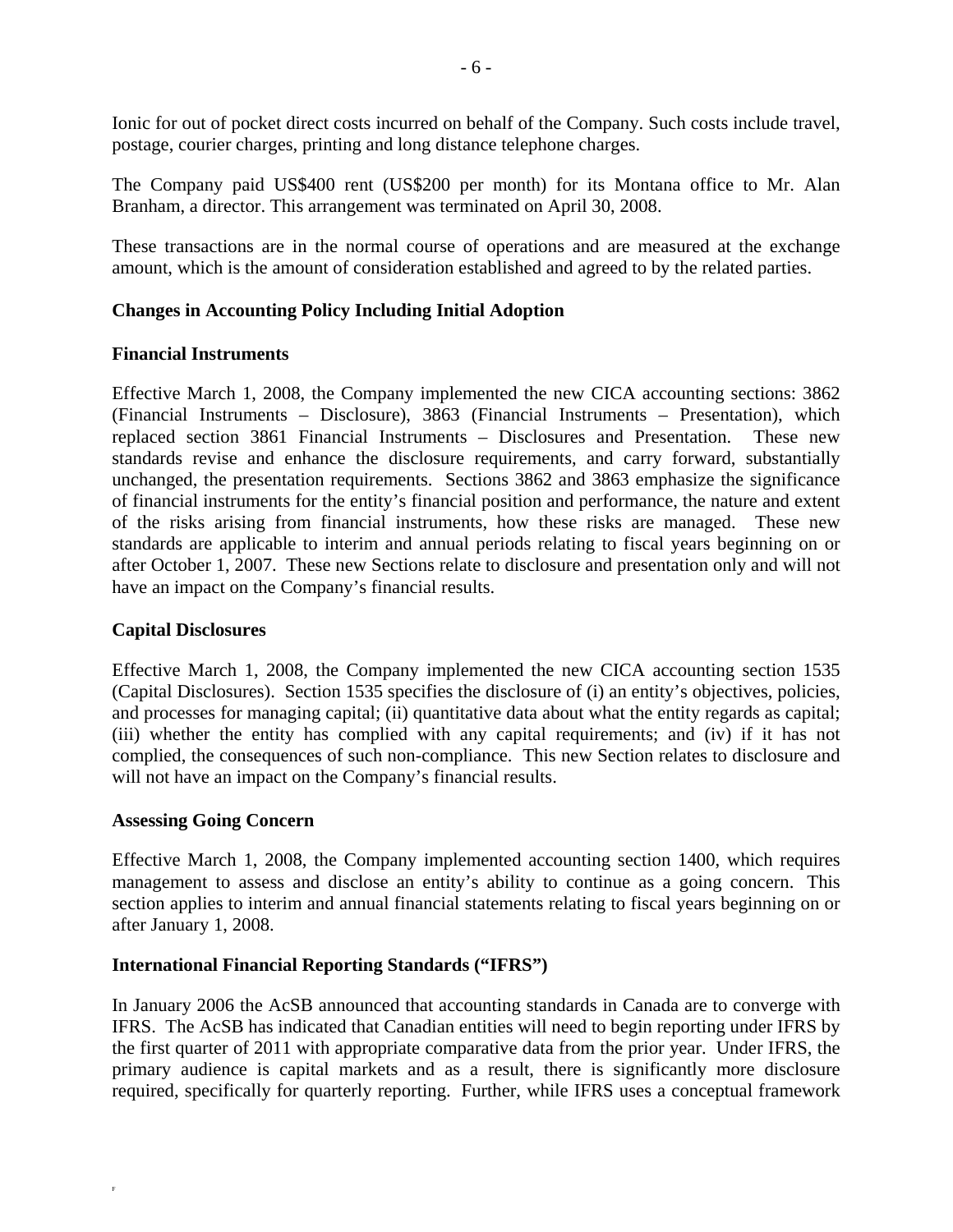Ionic for out of pocket direct costs incurred on behalf of the Company. Such costs include travel, postage, courier charges, printing and long distance telephone charges.

The Company paid US\$400 rent (US\$200 per month) for its Montana office to Mr. Alan Branham, a director. This arrangement was terminated on April 30, 2008.

These transactions are in the normal course of operations and are measured at the exchange amount, which is the amount of consideration established and agreed to by the related parties.

# **Changes in Accounting Policy Including Initial Adoption**

### **Financial Instruments**

Effective March 1, 2008, the Company implemented the new CICA accounting sections: 3862 (Financial Instruments – Disclosure), 3863 (Financial Instruments – Presentation), which replaced section 3861 Financial Instruments – Disclosures and Presentation. These new standards revise and enhance the disclosure requirements, and carry forward, substantially unchanged, the presentation requirements. Sections 3862 and 3863 emphasize the significance of financial instruments for the entity's financial position and performance, the nature and extent of the risks arising from financial instruments, how these risks are managed. These new standards are applicable to interim and annual periods relating to fiscal years beginning on or after October 1, 2007. These new Sections relate to disclosure and presentation only and will not have an impact on the Company's financial results.

# **Capital Disclosures**

Effective March 1, 2008, the Company implemented the new CICA accounting section 1535 (Capital Disclosures). Section 1535 specifies the disclosure of (i) an entity's objectives, policies, and processes for managing capital; (ii) quantitative data about what the entity regards as capital; (iii) whether the entity has complied with any capital requirements; and (iv) if it has not complied, the consequences of such non-compliance. This new Section relates to disclosure and will not have an impact on the Company's financial results.

### **Assessing Going Concern**

F

Effective March 1, 2008, the Company implemented accounting section 1400, which requires management to assess and disclose an entity's ability to continue as a going concern. This section applies to interim and annual financial statements relating to fiscal years beginning on or after January 1, 2008.

### **International Financial Reporting Standards ("IFRS")**

In January 2006 the AcSB announced that accounting standards in Canada are to converge with IFRS. The AcSB has indicated that Canadian entities will need to begin reporting under IFRS by the first quarter of 2011 with appropriate comparative data from the prior year. Under IFRS, the primary audience is capital markets and as a result, there is significantly more disclosure required, specifically for quarterly reporting. Further, while IFRS uses a conceptual framework